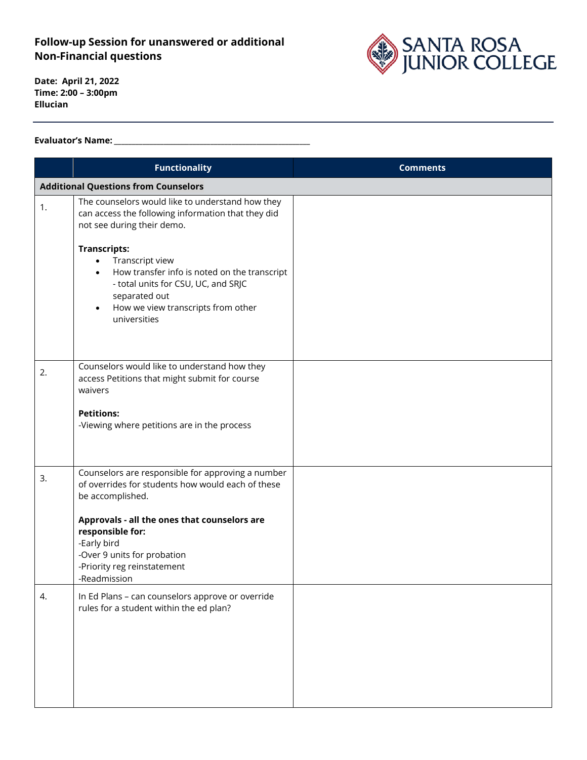## **Follow-up Session for unanswered or additional Non-Financial questions**



**Date: April 21, 2022 Time: 2:00 – 3:00pm Ellucian**

## **Evaluator's Name: \_\_\_\_\_\_\_\_\_\_\_\_\_\_\_\_\_\_\_\_\_\_\_\_\_\_\_\_\_\_\_\_\_\_\_\_\_\_\_\_\_\_\_\_\_\_\_\_\_\_\_\_\_\_\_**

|                                             | <b>Functionality</b>                                                                                                                                                                                                                                                                                                                                                                | <b>Comments</b> |  |
|---------------------------------------------|-------------------------------------------------------------------------------------------------------------------------------------------------------------------------------------------------------------------------------------------------------------------------------------------------------------------------------------------------------------------------------------|-----------------|--|
| <b>Additional Questions from Counselors</b> |                                                                                                                                                                                                                                                                                                                                                                                     |                 |  |
| 1.                                          | The counselors would like to understand how they<br>can access the following information that they did<br>not see during their demo.<br><b>Transcripts:</b><br>Transcript view<br>$\bullet$<br>How transfer info is noted on the transcript<br>$\bullet$<br>- total units for CSU, UC, and SRJC<br>separated out<br>How we view transcripts from other<br>$\bullet$<br>universities |                 |  |
| 2.                                          | Counselors would like to understand how they<br>access Petitions that might submit for course<br>waivers<br><b>Petitions:</b><br>-Viewing where petitions are in the process                                                                                                                                                                                                        |                 |  |
| 3.                                          | Counselors are responsible for approving a number<br>of overrides for students how would each of these<br>be accomplished.<br>Approvals - all the ones that counselors are<br>responsible for:<br>-Early bird<br>-Over 9 units for probation<br>-Priority reg reinstatement<br>-Readmission                                                                                         |                 |  |
| 4.                                          | In Ed Plans - can counselors approve or override<br>rules for a student within the ed plan?                                                                                                                                                                                                                                                                                         |                 |  |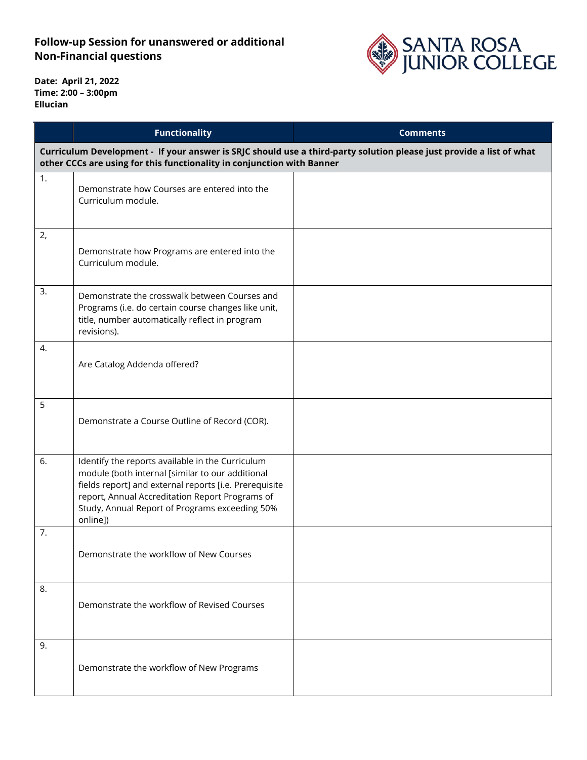## **Follow-up Session for unanswered or additional Non-Financial questions**



**Date: April 21, 2022 Time: 2:00 – 3:00pm Ellucian**

|                                                                                                                                                                                                | <b>Functionality</b>                                                                                                                                                                                                                                                            | <b>Comments</b> |  |
|------------------------------------------------------------------------------------------------------------------------------------------------------------------------------------------------|---------------------------------------------------------------------------------------------------------------------------------------------------------------------------------------------------------------------------------------------------------------------------------|-----------------|--|
| Curriculum Development - If your answer is SRJC should use a third-party solution please just provide a list of what<br>other CCCs are using for this functionality in conjunction with Banner |                                                                                                                                                                                                                                                                                 |                 |  |
| 1.                                                                                                                                                                                             | Demonstrate how Courses are entered into the<br>Curriculum module.                                                                                                                                                                                                              |                 |  |
| 2,                                                                                                                                                                                             | Demonstrate how Programs are entered into the<br>Curriculum module.                                                                                                                                                                                                             |                 |  |
| 3.                                                                                                                                                                                             | Demonstrate the crosswalk between Courses and<br>Programs (i.e. do certain course changes like unit,<br>title, number automatically reflect in program<br>revisions).                                                                                                           |                 |  |
| 4.                                                                                                                                                                                             | Are Catalog Addenda offered?                                                                                                                                                                                                                                                    |                 |  |
| 5                                                                                                                                                                                              | Demonstrate a Course Outline of Record (COR).                                                                                                                                                                                                                                   |                 |  |
| 6.                                                                                                                                                                                             | Identify the reports available in the Curriculum<br>module (both internal [similar to our additional<br>fields report] and external reports [i.e. Prerequisite<br>report, Annual Accreditation Report Programs of<br>Study, Annual Report of Programs exceeding 50%<br>online]) |                 |  |
| 7.                                                                                                                                                                                             | Demonstrate the workflow of New Courses                                                                                                                                                                                                                                         |                 |  |
| 8.                                                                                                                                                                                             | Demonstrate the workflow of Revised Courses                                                                                                                                                                                                                                     |                 |  |
| 9.                                                                                                                                                                                             | Demonstrate the workflow of New Programs                                                                                                                                                                                                                                        |                 |  |